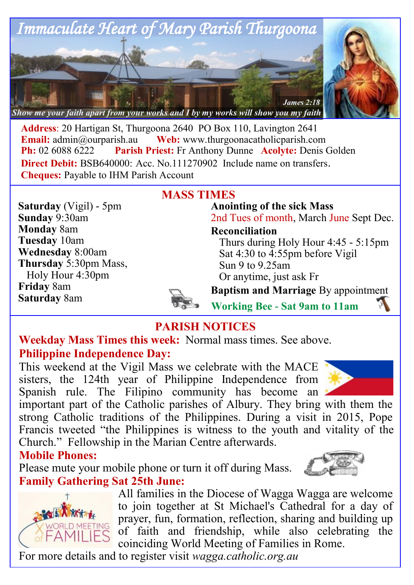

**Address**: 20 Hartigan St, Thurgoona 2640 PO Box 110, Lavington 2641 **Email:**  $\alpha$ <sup>o</sup> admin $\alpha$ <sup>o</sup> aurearish.au **Web:** www.thurgoonacatholicparish.com **Ph:** 02 6088 6222 **Parish Priest:** Fr Anthony Dunne **Acolyte:** Denis Golden **Direct Debit: BSB640000: Acc. No.111270902** Include name on transfers. **Cheques:** Payable to IHM Parish Account

**Saturday** (Vigil) - 5pm **Sunday** 9:30am **Monday** 8am **Tuesday** 10am **Wednesday** 8:00am **Thursday** 5:30pm Mass, Holy Hour 4:30pm **Friday** 8am **Saturday** 8am

# **MASS TIMES**

**Anointing of the sick Mass** 2nd Tues of month, March June Sept Dec.

**Reconciliation** 

Thurs during Holy Hour 4:45 - 5:15pm Sat 4:30 to 4:55pm before Vigil Sun 9 to 9.25am Or anytime, just ask Fr

**Baptism and Marriage** By appointment

**Working Bee - Sat 9am to 11am**

# **PARISH NOTICES**

**Weekday Mass Times this week:** Normal mass times. See above. **Philippine Independence Day:** 

This weekend at the Vigil Mass we celebrate with the MACE sisters, the 124th year of Philippine Independence from Spanish rule. The Filipino community has become an

important part of the Catholic parishes of Albury. They bring with them the strong Catholic traditions of the Philippines. During a visit in 2015, Pope Francis tweeted "the Philippines is witness to the youth and vitality of the Church." Fellowship in the Marian Centre afterwards.

# **Mobile Phones:**

**ALLEY A XXXXXXX** 

Please mute your mobile phone or turn it off during Mass. **Family Gathering Sat 25th June:**

All families in the Diocese of Wagga Wagga are welcome to join together at St Michael's Cathedral for a day of prayer, fun, formation, reflection, sharing and building up of faith and friendship, while also celebrating the coinciding World Meeting of Families in Rome.

For more details and to register visit *wagga.catholic.org.au*





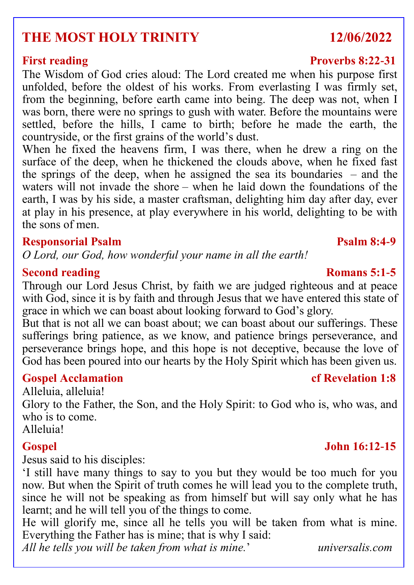# **THE MOST HOLY TRINITY 12/06/2022**

The Wisdom of God cries aloud: The Lord created me when his purpose first unfolded, before the oldest of his works. From everlasting I was firmly set, from the beginning, before earth came into being. The deep was not, when I was born, there were no springs to gush with water. Before the mountains were settled, before the hills, I came to birth; before he made the earth, the countryside, or the first grains of the world's dust.

When he fixed the heavens firm, I was there, when he drew a ring on the surface of the deep, when he thickened the clouds above, when he fixed fast the springs of the deep, when he assigned the sea its boundaries – and the waters will not invade the shore – when he laid down the foundations of the earth, I was by his side, a master craftsman, delighting him day after day, ever at play in his presence, at play everywhere in his world, delighting to be with the sons of men.

### **Responsorial Psalm Psalm 8:4-9**

*O Lord, our God, how wonderful your name in all the earth!*

### **Second reading**  Romans 5:1-5

Through our Lord Jesus Christ, by faith we are judged righteous and at peace with God, since it is by faith and through Jesus that we have entered this state of grace in which we can boast about looking forward to God's glory.

But that is not all we can boast about; we can boast about our sufferings. These sufferings bring patience, as we know, and patience brings perseverance, and perseverance brings hope, and this hope is not deceptive, because the love of God has been poured into our hearts by the Holy Spirit which has been given us.

### **Gospel Acclamation cf Revelation 1:8**

Alleluia, alleluia! Glory to the Father, the Son, and the Holy Spirit: to God who is, who was, and who is to come. Alleluia!

Jesus said to his disciples:

'I still have many things to say to you but they would be too much for you now. But when the Spirit of truth comes he will lead you to the complete truth, since he will not be speaking as from himself but will say only what he has learnt; and he will tell you of the things to come.

He will glorify me, since all he tells you will be taken from what is mine. Everything the Father has is mine; that is why I said:

*All he tells you will be taken from what is mine.*' *universalis.com*

### **First reading Proverbs 8:22-31**

## **Gospel John 16:12-15**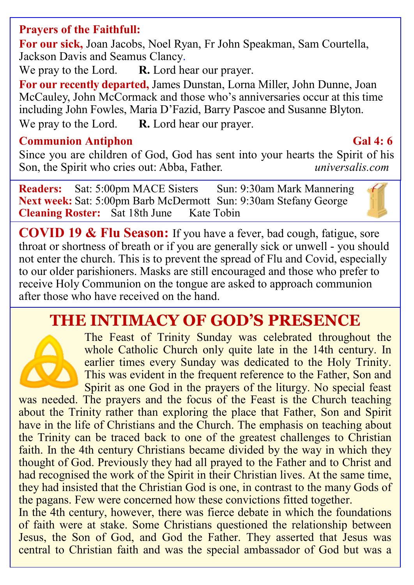### **Prayers of the Faithfull:**

**For our sick,** Joan Jacobs, Noel Ryan, Fr John Speakman, Sam Courtella, Jackson Davis and Seamus Clancy.

We pray to the Lord. **R.** Lord hear our prayer.

**For our recently departed,** James Dunstan, Lorna Miller, John Dunne, Joan McCauley, John McCormack and those who's anniversaries occur at this time including John Fowles, Maria D'Fazid, Barry Pascoe and Susanne Blyton. We pray to the Lord. **R.** Lord hear our prayer.

### **Communion Antiphon Gal 4: 6**

Since you are children of God, God has sent into your hearts the Spirit of his Son, the Spirit who cries out: Abba, Father. *universalis.com*

**Readers:** Sat: 5:00pm MACE Sisters Sun: 9:30am Mark Mannering **Next week:** Sat: 5:00pm Barb McDermott Sun: 9:30am Stefany George Cleaning Roster: Sat 18th June Kate Tobin **Cleaning Roster:** Sat 18th June Kate Tobin

**COVID 19 & Flu Season:** If you have a fever, bad cough, fatigue, sore throat or shortness of breath or if you are generally sick or unwell - you should not enter the church. This is to prevent the spread of Flu and Covid, especially to our older parishioners. Masks are still encouraged and those who prefer to receive Holy Communion on the tongue are asked to approach communion after those who have received on the hand.

# **THE INTIMACY OF GOD'S PRESENCE**



The Feast of Trinity Sunday was celebrated throughout the whole Catholic Church only quite late in the 14th century. In earlier times every Sunday was dedicated to the Holy Trinity. This was evident in the frequent reference to the Father, Son and Spirit as one God in the prayers of the liturgy. No special feast

was needed. The prayers and the focus of the Feast is the Church teaching about the Trinity rather than exploring the place that Father, Son and Spirit have in the life of Christians and the Church. The emphasis on teaching about the Trinity can be traced back to one of the greatest challenges to Christian faith. In the 4th century Christians became divided by the way in which they thought of God. Previously they had all prayed to the Father and to Christ and had recognised the work of the Spirit in their Christian lives. At the same time, they had insisted that the Christian God is one, in contrast to the many Gods of the pagans. Few were concerned how these convictions fitted together.

In the 4th century, however, there was fierce debate in which the foundations of faith were at stake. Some Christians questioned the relationship between Jesus, the Son of God, and God the Father. They asserted that Jesus was central to Christian faith and was the special ambassador of God but was a